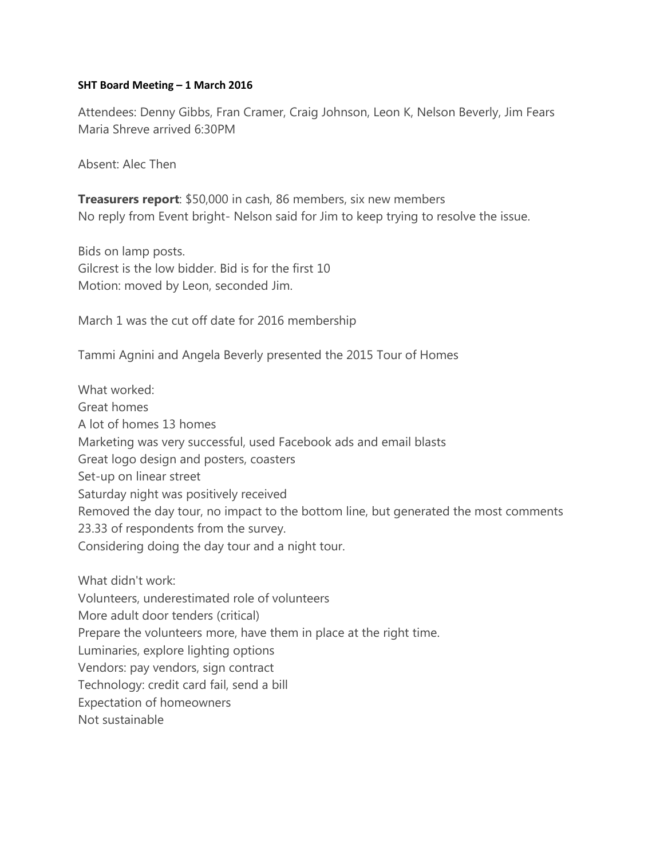# **SHT Board Meeting – 1 March 2016**

Attendees: Denny Gibbs, Fran Cramer, Craig Johnson, Leon K, Nelson Beverly, Jim Fears Maria Shreve arrived 6:30PM

Absent: Alec Then

**Treasurers report**: \$50,000 in cash, 86 members, six new members No reply from Event bright- Nelson said for Jim to keep trying to resolve the issue.

Bids on lamp posts. Gilcrest is the low bidder. Bid is for the first 10 Motion: moved by Leon, seconded Jim.

March 1 was the cut off date for 2016 membership

Tammi Agnini and Angela Beverly presented the 2015 Tour of Homes

What worked: Great homes A lot of homes 13 homes Marketing was very successful, used Facebook ads and email blasts Great logo design and posters, coasters Set-up on linear street Saturday night was positively received Removed the day tour, no impact to the bottom line, but generated the most comments 23.33 of respondents from the survey. Considering doing the day tour and a night tour.

What didn't work:

Volunteers, underestimated role of volunteers

More adult door tenders (critical)

Prepare the volunteers more, have them in place at the right time.

Luminaries, explore lighting options

Vendors: pay vendors, sign contract

Technology: credit card fail, send a bill

Expectation of homeowners

Not sustainable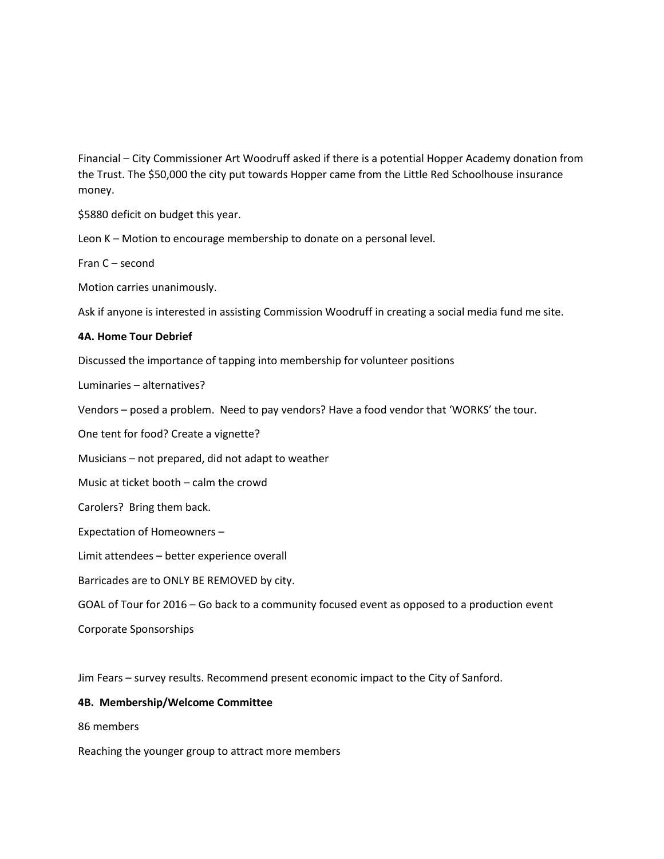Financial – City Commissioner Art Woodruff asked if there is a potential Hopper Academy donation from the Trust. The \$50,000 the city put towards Hopper came from the Little Red Schoolhouse insurance money.

\$5880 deficit on budget this year.

Leon K – Motion to encourage membership to donate on a personal level.

Fran C – second

Motion carries unanimously.

Ask if anyone is interested in assisting Commission Woodruff in creating a social media fund me site.

#### **4A. Home Tour Debrief**

Discussed the importance of tapping into membership for volunteer positions

Luminaries – alternatives?

Vendors – posed a problem. Need to pay vendors? Have a food vendor that 'WORKS' the tour.

One tent for food? Create a vignette?

Musicians – not prepared, did not adapt to weather

Music at ticket booth – calm the crowd

Carolers? Bring them back.

Expectation of Homeowners –

Limit attendees – better experience overall

Barricades are to ONLY BE REMOVED by city.

GOAL of Tour for 2016 – Go back to a community focused event as opposed to a production event

Corporate Sponsorships

Jim Fears – survey results. Recommend present economic impact to the City of Sanford.

#### **4B. Membership/Welcome Committee**

86 members

Reaching the younger group to attract more members